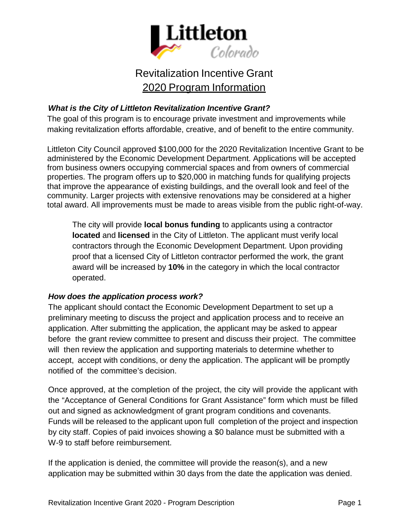

# Revitalization Incentive Grant 2020 Program Information

## *What is the City of Littleton Revitalization Incentive Grant?*

The goal of this program is to encourage private investment and improvements while making revitalization efforts affordable, creative, and of benefit to the entire community.

Littleton City Council approved \$100,000 for the 2020 Revitalization Incentive Grant to be administered by the Economic Development Department. Applications will be accepted from business owners occupying commercial spaces and from owners of commercial properties. The program offers up to \$20,000 in matching funds for qualifying projects that improve the appearance of existing buildings, and the overall look and feel of the community. Larger projects with extensive renovations may be considered at a higher total award. All improvements must be made to areas visible from the public right-of-way.

The city will provide **local bonus funding** to applicants using a contractor **located** and **licensed** in the City of Littleton. The applicant must verify local contractors through the Economic Development Department. Upon providing proof that a licensed City of Littleton contractor performed the work, the grant award will be increased by **10%** in the category in which the local contractor operated.

## *How does the application process work?*

The applicant should contact the Economic Development Department to set up a preliminary meeting to discuss the project and application process and to receive an application. After submitting the application, the applicant may be asked to appear before the grant review committee to present and discuss their project. The committee will then review the application and supporting materials to determine whether to accept, accept with conditions, or deny the application. The applicant will be promptly notified of the committee's decision.

Once approved, at the completion of the project, the city will provide the applicant with the "Acceptance of General Conditions for Grant Assistance" form which must be filled out and signed as acknowledgment of grant program conditions and covenants. Funds will be released to the applicant upon full completion of the project and inspection by city staff. Copies of paid invoices showing a \$0 balance must be submitted with a W-9 to staff before reimbursement.

If the application is denied, the committee will provide the reason(s), and a new application may be submitted within 30 days from the date the application was denied.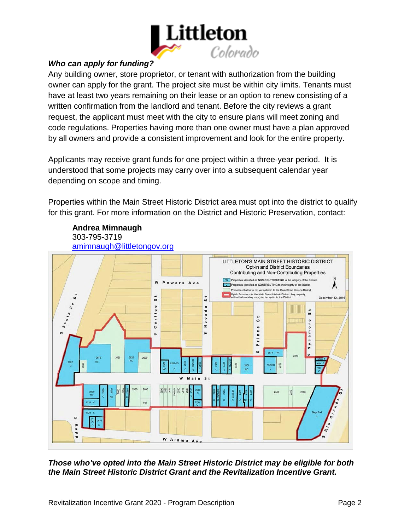

## *Who can apply for funding?*

Any building owner, store proprietor, or tenant with authorization from the building owner can apply for the grant. The project site must be within city limits. Tenants must have at least two years remaining on their lease or an option to renew consisting of a written confirmation from the landlord and tenant. Before the city reviews a grant request, the applicant must meet with the city to ensure plans will meet zoning and code regulations. Properties having more than one owner must have a plan approved by all owners and provide a consistent improvement and look for the entire property.

Applicants may receive grant funds for one project within a three-year period. It is understood that some projects may carry over into a subsequent calendar year depending on scope and timing.

Properties within the Main Street Historic District area must opt into the district to qualify for this grant. For more information on the District and Historic Preservation, contact:



**Andrea Mimnaugh** 303-795-3719

*Those who've opted into the Main Street Historic District may be eligible for both the Main Street Historic District Grant and the Revitalization Incentive Grant.*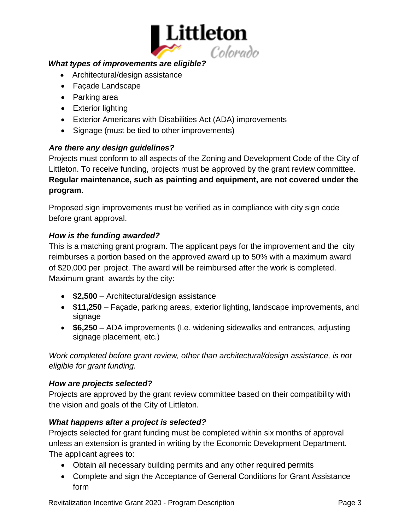

## *What types of improvements are eligible?*

- Architectural/design assistance
- Façade Landscape
- Parking area
- Exterior lighting
- Exterior Americans with Disabilities Act (ADA) improvements
- Signage (must be tied to other improvements)

#### *Are there any design guidelines?*

Projects must conform to all aspects of the Zoning and Development Code of the City of Littleton. To receive funding, projects must be approved by the grant review committee. **Regular maintenance, such as painting and equipment, are not covered under the program**.

Proposed sign improvements must be verified as in compliance with city sign code before grant approval.

## *How is the funding awarded?*

This is a matching grant program. The applicant pays for the improvement and the city reimburses a portion based on the approved award up to 50% with a maximum award of \$20,000 per project. The award will be reimbursed after the work is completed. Maximum grant awards by the city:

- **\$2,500**  Architectural/design assistance
- **\$11,250**  Façade, parking areas, exterior lighting, landscape improvements, and signage
- **\$6,250**  ADA improvements (I.e. widening sidewalks and entrances, adjusting signage placement, etc.)

*Work completed before grant review, other than architectural/design assistance, is not eligible for grant funding.*

## *How are projects selected?*

Projects are approved by the grant review committee based on their compatibility with the vision and goals of the City of Littleton.

## *What happens after a project is selected?*

Projects selected for grant funding must be completed within six months of approval unless an extension is granted in writing by the Economic Development Department. The applicant agrees to:

- Obtain all necessary building permits and any other required permits
- Complete and sign the Acceptance of General Conditions for Grant Assistance form